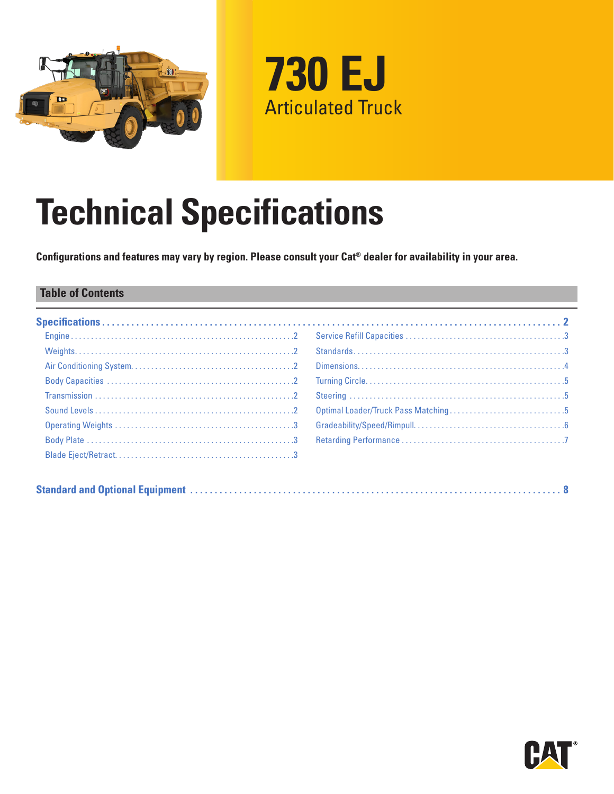



# **Technical Specifications**

**Configurations and features may vary by region. Please consult your Cat® dealer for availability in your area.**

#### **Table of Contents**

|--|

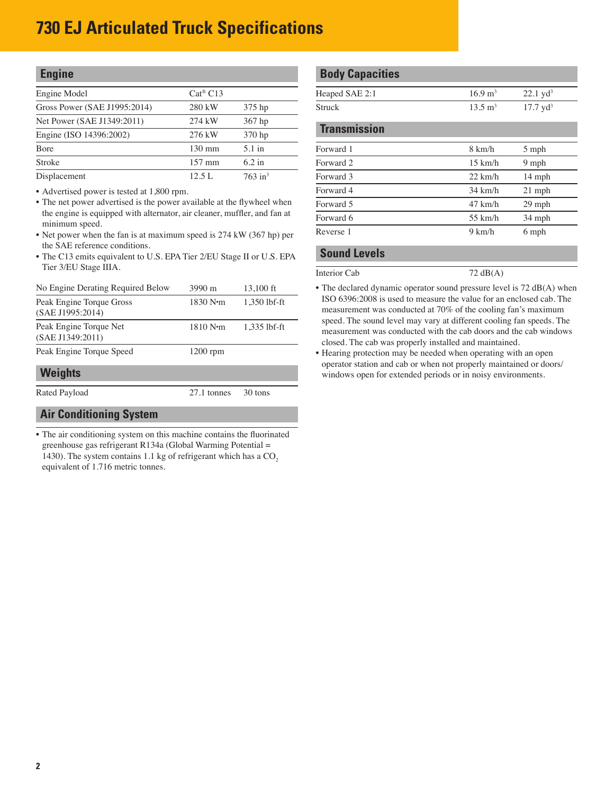<span id="page-1-0"></span>

| <b>Engine</b>                |                       |                       |
|------------------------------|-----------------------|-----------------------|
| Engine Model                 | $Cat^{\circledR} C13$ |                       |
| Gross Power (SAE J1995:2014) | 280 kW                | 375 hp                |
| Net Power (SAE J1349:2011)   | 274 kW                | 367 hp                |
| Engine (ISO 14396:2002)      | 276 kW                | 370 hp                |
| <b>B</b> ore                 | $130 \text{ mm}$      | $5.1$ in              |
| Stroke                       | $157 \text{ mm}$      | $6.2$ in              |
| Displacement                 | 12.5 L                | $763$ in <sup>3</sup> |

• Advertised power is tested at 1,800 rpm.

- The net power advertised is the power available at the flywheel when the engine is equipped with alternator, air cleaner, muffler, and fan at minimum speed.
- Net power when the fan is at maximum speed is 274 kW (367 hp) per the SAE reference conditions.
- The C13 emits equivalent to U.S. EPA Tier 2/EU Stage II or U.S. EPA Tier 3/EU Stage IIIA.

| No Engine Derating Required Below            | 3990 m      | 13,100 ft    |
|----------------------------------------------|-------------|--------------|
| Peak Engine Torque Gross<br>(SAE J1995:2014) | 1830 N·m    | 1.350 lbf-ft |
| Peak Engine Torque Net<br>(SAE J1349:2011)   | 1810 N·m    | 1,335 lbf-ft |
| Peak Engine Torque Speed                     | $1200$ rpm  |              |
| <b>Weights</b>                               |             |              |
| Rated Payload                                | 27.1 tonnes | 30 tons      |

#### **Air Conditioning System**

• The air conditioning system on this machine contains the fluorinated greenhouse gas refrigerant R134a (Global Warming Potential = 1430). The system contains 1.1 kg of refrigerant which has a  $CO<sub>2</sub>$ equivalent of 1.716 metric tonnes.

#### **Body Capacities**

| Heaped SAE 2:1 | $16.9 \text{ m}^3$ | $22.1 \text{ vd}^3$ |
|----------------|--------------------|---------------------|
| Struck         | $13.5 \text{ m}^3$ | $17.7 \text{ yd}^3$ |

| <b>Transmission</b> |                   |          |
|---------------------|-------------------|----------|
| Forward 1           | $8 \text{ km/h}$  | 5 mph    |
| Forward 2           | $15 \text{ km/h}$ | 9 mph    |
| Forward 3           | $22 \text{ km/h}$ | $14$ mph |
| Forward 4           | $34 \text{ km/h}$ | $21$ mph |
| Forward 5           | $47$ km/h         | 29 mph   |
| Forward 6           | $55 \text{ km/h}$ | 34 mph   |
| Reverse 1           | 9 km/h            | 6 mph    |
|                     |                   |          |

#### **Sound Levels**

Interior Cab 72 dB(A)

- The declared dynamic operator sound pressure level is 72 dB(A) when ISO 6396:2008 is used to measure the value for an enclosed cab. The measurement was conducted at 70% of the cooling fan's maximum speed. The sound level may vary at different cooling fan speeds. The measurement was conducted with the cab doors and the cab windows closed. The cab was properly installed and maintained.
- Hearing protection may be needed when operating with an open operator station and cab or when not properly maintained or doors/ windows open for extended periods or in noisy environments.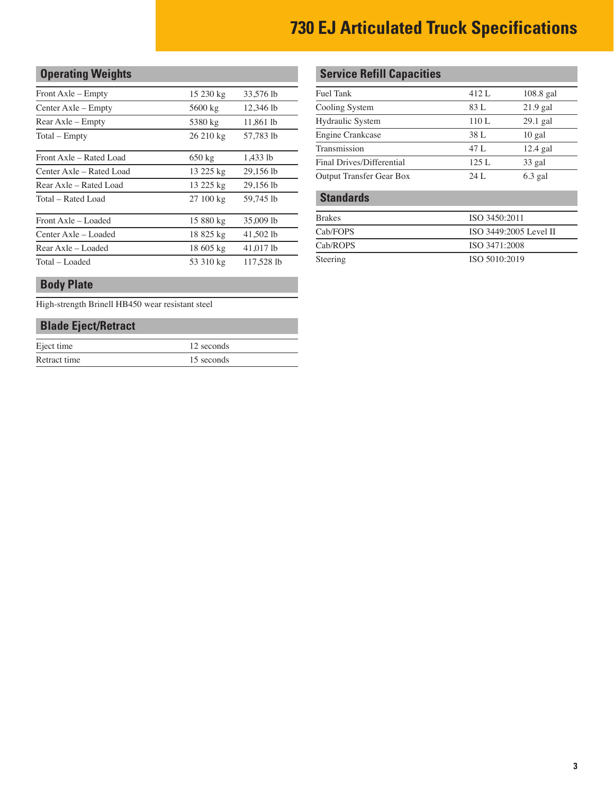### <span id="page-2-0"></span>**Operating Weights**

| Front Axle – Empty       | 15 230 kg        | 33,576 lb  |
|--------------------------|------------------|------------|
| Center Axle – Empty      | 5600 kg          | 12,346 lb  |
| Rear Axle – Empty        | 5380 kg          | 11,861 lb  |
| Total – Empty            | 26 210 kg        | 57,783 lb  |
| Front Axle – Rated Load  | $650 \text{ kg}$ | 1,433 lb   |
| Center Axle – Rated Load | 13 225 kg        | 29,156 lb  |
| Rear Axle – Rated Load   | 13 225 kg        | 29,156 lb  |
| Total – Rated Load       | 27 100 kg        | 59,745 lb  |
| Front Axle – Loaded      | 15 880 kg        | 35,009 lb  |
| Center Axle – Loaded     | 18 825 kg        | 41,502 lb  |
| Rear Axle – Loaded       | 18 605 kg        | 41.017 lb  |
| Total - Loaded           | 53 310 kg        | 117.528 lb |
|                          |                  |            |

#### **Body Plate**

High-strength Brinell HB450 wear resistant steel

#### **Blade Eject/Retract**

| Eject time   | 12 seconds |
|--------------|------------|
| Retract time | 15 seconds |

#### **Service Refill Capacities**

| Fuel Tank                 | 412 L                  | $108.8$ gal |
|---------------------------|------------------------|-------------|
| Cooling System            | 83 L                   | $21.9$ gal  |
| Hydraulic System          | 110 L                  | $29.1$ gal  |
| <b>Engine Crankcase</b>   | 38 L                   | $10$ gal    |
| Transmission              | 47 L                   | $12.4$ gal  |
| Final Drives/Differential | 125L                   | 33 gal      |
| Output Transfer Gear Box  | 24 L                   | $6.3$ gal   |
| <b>Standards</b>          |                        |             |
| <b>Brakes</b>             | ISO 3450:2011          |             |
| Cab/FOPS                  | ISO 3449:2005 Level II |             |
| Cab/ROPS                  | ISO 3471:2008          |             |
|                           |                        |             |

Steering ISO 5010:2019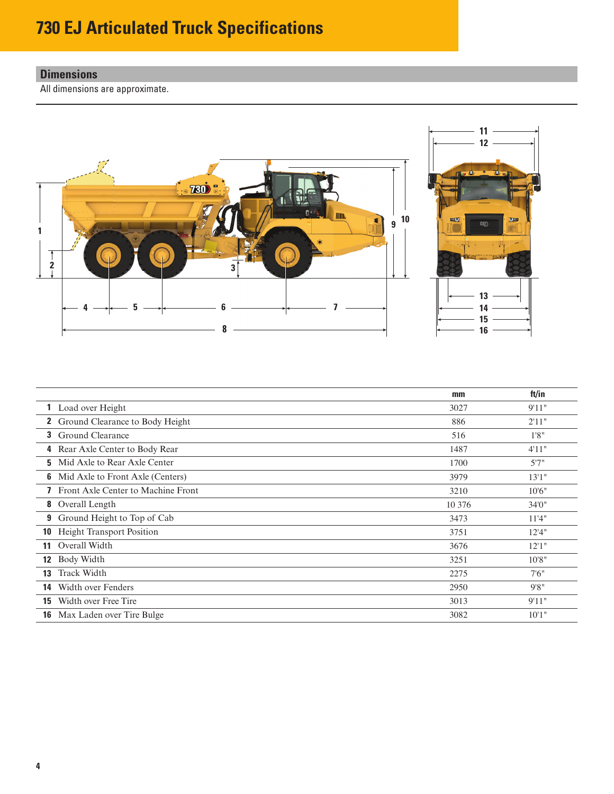#### <span id="page-3-0"></span>**Dimensions**

All dimensions are approximate.



|                  |                                           | mm     | ft/in  |
|------------------|-------------------------------------------|--------|--------|
|                  | <b>1</b> Load over Height                 | 3027   | 9'11"  |
|                  | <b>2</b> Ground Clearance to Body Height  | 886    | 2'11"  |
|                  | <b>3</b> Ground Clearance                 | 516    | 1'8''  |
| 4                | Rear Axle Center to Body Rear             | 1487   | 4'11"  |
| 5.               | Mid Axle to Rear Axle Center              | 1700   | 5'7''  |
|                  | <b>6</b> Mid Axle to Front Axle (Centers) | 3979   | 13'1"  |
|                  | Front Axle Center to Machine Front        | 3210   | 10'6'' |
|                  | <b>8</b> Overall Length                   | 10 376 | 34'0"  |
| 9                | Ground Height to Top of Cab               | 3473   | 11'4"  |
| 10               | <b>Height Transport Position</b>          | 3751   | 12'4"  |
| 11               | Overall Width                             | 3676   | 12'1'' |
| 12 <sup>12</sup> | Body Width                                | 3251   | 10'8"  |
| 13               | <b>Track Width</b>                        | 2275   | 7'6''  |
| 14               | Width over Fenders                        | 2950   | 9'8''  |
|                  | <b>15</b> Width over Free Tire            | 3013   | 9'11"  |
| 16               | Max Laden over Tire Bulge                 | 3082   | 10'1"  |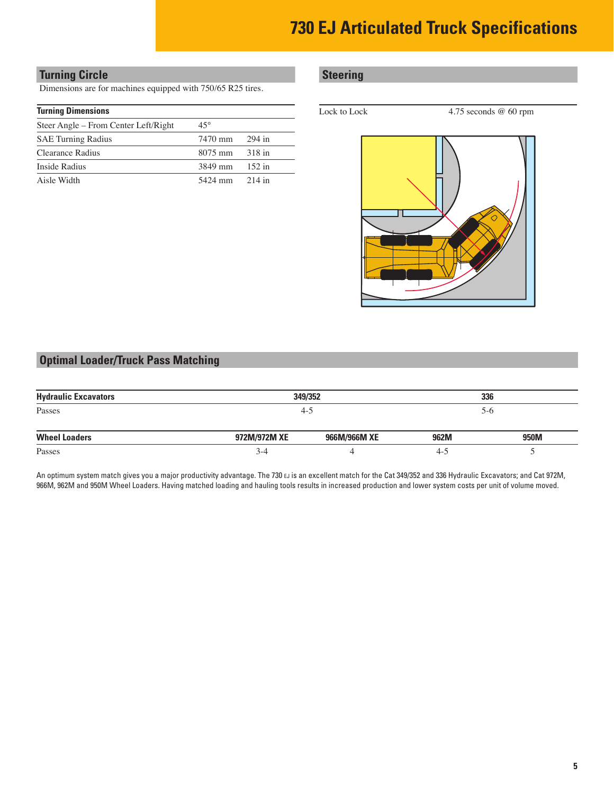#### <span id="page-4-0"></span>**Turning Circle Steering**

Dimensions are for machines equipped with 750/65 R25 tires.

| Steer Angle – From Center Left/Right | $45^{\circ}$             |          |
|--------------------------------------|--------------------------|----------|
| <b>SAE Turning Radius</b>            | 7470 mm                  | 294 in   |
| Clearance Radius                     | $8075 \text{ mm}$ 318 in |          |
| Inside Radius                        | $3849 \text{ mm}$ 152 in |          |
| Aisle Width                          | 5424 mm                  | $214$ in |

**Turning Dimensions** Lock to Lock to Lock 4.75 seconds @ 60 rpm



#### **Optimal Loader/Truck Pass Matching**

| <b>Hydraulic Excavators</b> |              | 349/352      |         | 336   |
|-----------------------------|--------------|--------------|---------|-------|
| Passes                      |              | $-5$         |         | $5-6$ |
| <b>Wheel Loaders</b>        | 972M/972M XE | 966M/966M XE | 962M    | 950M  |
| Passes                      | $3-4$        |              | $4 - 7$ |       |

An optimum system match gives you a major productivity advantage. The 730 EJ is an excellent match for the Cat 349/352 and 336 Hydraulic Excavators; and Cat 972M, 966M, 962M and 950M Wheel Loaders. Having matched loading and hauling tools results in increased production and lower system costs per unit of volume moved.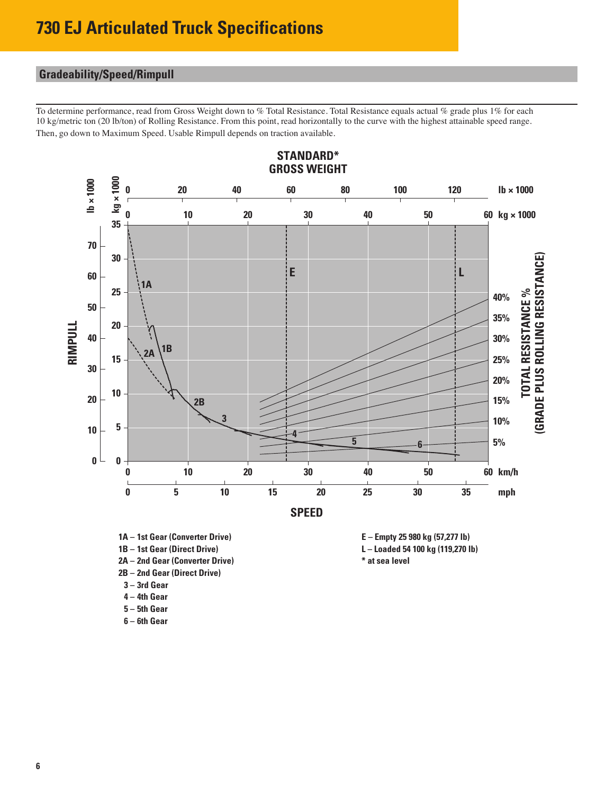### <span id="page-5-0"></span>**Gradeability/Speed/Rimpull**

To determine performance, read from Gross Weight down to % Total Resistance. Total Resistance equals actual % grade plus 1% for each 10 kg/metric ton (20 lb/ton) of Rolling Resistance. From this point, read horizontally to the curve with the highest attainable speed range. Then, go down to Maximum Speed. Usable Rimpull depends on traction available.



- **2A – 2nd Gear (Converter Drive) \* at sea level**
- **2B – 2nd Gear (Direct Drive)**
- **3 – 3rd Gear**
- **4 – 4th Gear**
- **5 – 5th Gear**
- **6 – 6th Gear**
- **1A – 1st Gear (Converter Drive) E Empty 25 980 kg (57,277 lb)**

**1B – 1st Gear (Direct Drive) L – Loaded 54 100 kg (119,270 lb)**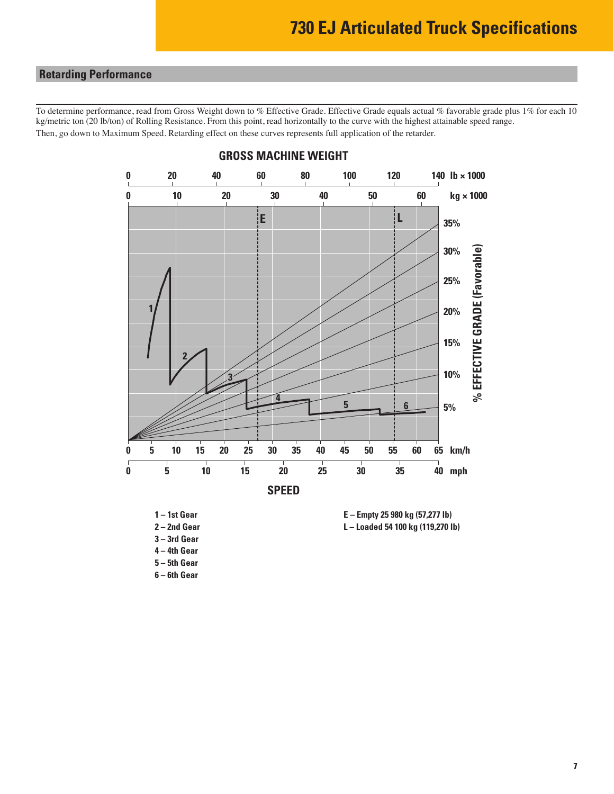#### <span id="page-6-0"></span>**Retarding Performance**

To determine performance, read from Gross Weight down to % Effective Grade. Effective Grade equals actual % favorable grade plus 1% for each 10 kg/metric ton (20 lb/ton) of Rolling Resistance. From this point, read horizontally to the curve with the highest attainable speed range. Then, go down to Maximum Speed. Retarding effect on these curves represents full application of the retarder.



#### **GROSS MACHINE WEIGHT**

**4 – 4th Gear**

**5 – 5th Gear**

**6 – 6th Gear**